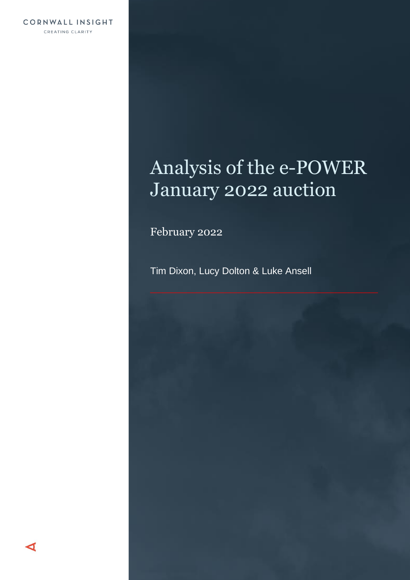# Analysis of the e-POWER January 2022 auction

February 2022

Tim Dixon, Lucy Dolton & Luke Ansell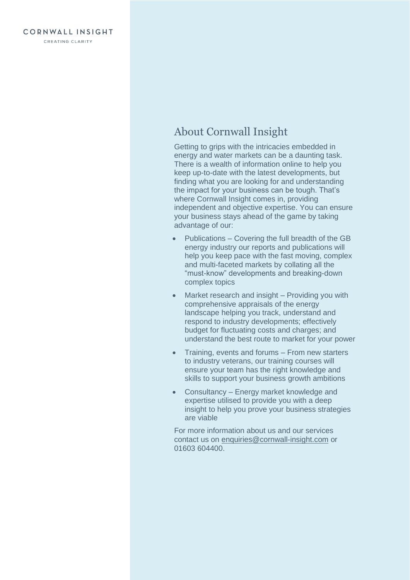## About Cornwall Insight

Getting to grips with the intricacies embedded in energy and water markets can be a daunting task. There is a wealth of information online to help you keep up-to-date with the latest developments, but finding what you are looking for and understanding the impact for your business can be tough. That's where Cornwall Insight comes in, providing independent and objective expertise. You can ensure your business stays ahead of the game by taking advantage of our:

- Publications Covering the full breadth of the GB energy industry our reports and publications will help you keep pace with the fast moving, complex and multi-faceted markets by collating all the "must-know" developments and breaking-down complex topics
- Market research and insight Providing you with comprehensive appraisals of the energy landscape helping you track, understand and respond to industry developments; effectively budget for fluctuating costs and charges; and understand the best route to market for your power
- Training, events and forums From new starters to industry veterans, our training courses will ensure your team has the right knowledge and skills to support your business growth ambitions
- Consultancy Energy market knowledge and expertise utilised to provide you with a deep insight to help you prove your business strategies are viable

For more information about us and our services contact us on [enquiries@cornwall-insight.com](mailto:enquiries@cornwall-insight.com) or 01603 604400.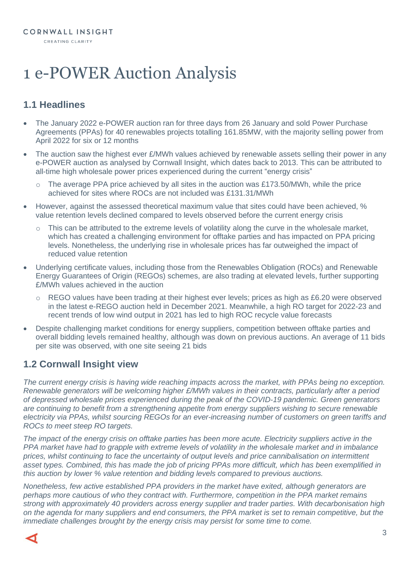# 1 e-POWER Auction Analysis

## **1.1 Headlines**

- The January 2022 e-POWER auction ran for three days from 26 January and sold Power Purchase Agreements (PPAs) for 40 renewables projects totalling 161.85MW, with the majority selling power from April 2022 for six or 12 months
- The auction saw the highest ever £/MWh values achieved by renewable assets selling their power in any e-POWER auction as analysed by Cornwall Insight, which dates back to 2013. This can be attributed to all-time high wholesale power prices experienced during the current "energy crisis"
	- o The average PPA price achieved by all sites in the auction was £173.50/MWh, while the price achieved for sites where ROCs are not included was £131.31/MWh
- However, against the assessed theoretical maximum value that sites could have been achieved, % value retention levels declined compared to levels observed before the current energy crisis
	- This can be attributed to the extreme levels of volatility along the curve in the wholesale market, which has created a challenging environment for offtake parties and has impacted on PPA pricing levels. Nonetheless, the underlying rise in wholesale prices has far outweighed the impact of reduced value retention
- Underlying certificate values, including those from the Renewables Obligation (ROCs) and Renewable Energy Guarantees of Origin (REGOs) schemes, are also trading at elevated levels, further supporting £/MWh values achieved in the auction
	- o REGO values have been trading at their highest ever levels; prices as high as £6.20 were observed in the latest e-REGO auction held in December 2021. Meanwhile, a high RO target for 2022-23 and recent trends of low wind output in 2021 has led to high ROC recycle value forecasts
- Despite challenging market conditions for energy suppliers, competition between offtake parties and overall bidding levels remained healthy, although was down on previous auctions. An average of 11 bids per site was observed, with one site seeing 21 bids

### **1.2 Cornwall Insight view**

*The current energy crisis is having wide reaching impacts across the market, with PPAs being no exception. Renewable generators will be welcoming higher £/MWh values in their contracts, particularly after a period of depressed wholesale prices experienced during the peak of the COVID-19 pandemic. Green generators are continuing to benefit from a strengthening appetite from energy suppliers wishing to secure renewable electricity via PPAs, whilst sourcing REGOs for an ever-increasing number of customers on green tariffs and ROCs to meet steep RO targets.*

*The impact of the energy crisis on offtake parties has been more acute. Electricity suppliers active in the PPA market have had to grapple with extreme levels of volatility in the wholesale market and in imbalance prices, whilst continuing to face the uncertainty of output levels and price cannibalisation on intermittent asset types. Combined, this has made the job of pricing PPAs more difficult, which has been exemplified in this auction by lower % value retention and bidding levels compared to previous auctions.*

*Nonetheless, few active established PPA providers in the market have exited, although generators are perhaps more cautious of who they contract with. Furthermore, competition in the PPA market remains strong with approximately 40 providers across energy supplier and trader parties. With decarbonisation high on the agenda for many suppliers and end consumers, the PPA market is set to remain competitive, but the immediate challenges brought by the energy crisis may persist for some time to come.*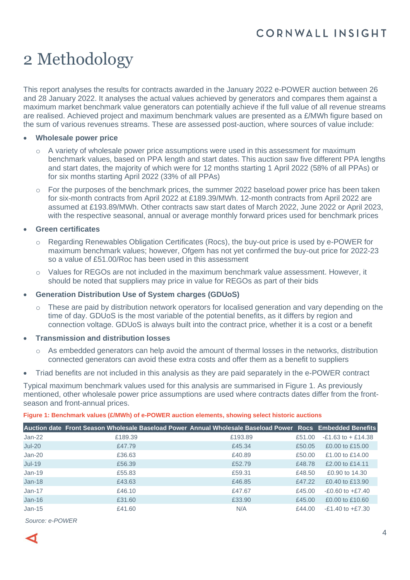# 2 Methodology

This report analyses the results for contracts awarded in the January 2022 e-POWER auction between 26 and 28 January 2022. It analyses the actual values achieved by generators and compares them against a maximum market benchmark value generators can potentially achieve if the full value of all revenue streams are realised. Achieved project and maximum benchmark values are presented as a £/MWh figure based on the sum of various revenues streams. These are assessed post-auction, where sources of value include:

#### • **Wholesale power price**

- $\circ$  A variety of wholesale power price assumptions were used in this assessment for maximum benchmark values, based on PPA length and start dates. This auction saw five different PPA lengths and start dates, the majority of which were for 12 months starting 1 April 2022 (58% of all PPAs) or for six months starting April 2022 (33% of all PPAs)
- $\circ$  For the purposes of the benchmark prices, the summer 2022 baseload power price has been taken for six-month contracts from April 2022 at £189.39/MWh. 12-month contracts from April 2022 are assumed at £193.89/MWh. Other contracts saw start dates of March 2022, June 2022 or April 2023, with the respective seasonal, annual or average monthly forward prices used for benchmark prices

#### • **Green certificates**

- o Regarding Renewables Obligation Certificates (Rocs), the buy-out price is used by e-POWER for maximum benchmark values; however, Ofgem has not yet confirmed the buy-out price for 2022-23 so a value of £51.00/Roc has been used in this assessment
- o Values for REGOs are not included in the maximum benchmark value assessment. However, it should be noted that suppliers may price in value for REGOs as part of their bids

#### • **Generation Distribution Use of System charges (GDUoS)**

 $\circ$  These are paid by distribution network operators for localised generation and vary depending on the time of day. GDUoS is the most variable of the potential benefits, as it differs by region and connection voltage. GDUoS is always built into the contract price, whether it is a cost or a benefit

#### • **Transmission and distribution losses**

- $\circ$  As embedded generators can help avoid the amount of thermal losses in the networks, distribution connected generators can avoid these extra costs and offer them as a benefit to suppliers
- Triad benefits are not included in this analysis as they are paid separately in the e-POWER contract

Typical maximum benchmark values used for this analysis are summarised in [Figure 1.](#page-3-0) As previously mentioned, other wholesale power price assumptions are used where contracts dates differ from the frontseason and front-annual prices.

#### <span id="page-3-0"></span>**Figure 1: Benchmark values (£/MWh) of e-POWER auction elements, showing select historic auctions**

|               | Auction date Front Season Wholesale Baseload Power Annual Wholesale Baseload Power Rocs Embedded Benefits |         |        |                       |
|---------------|-----------------------------------------------------------------------------------------------------------|---------|--------|-----------------------|
| $Jan-22$      | £189.39                                                                                                   | £193.89 | £51.00 | $-E1.63$ to $+E14.38$ |
| <b>Jul-20</b> | £47.79                                                                                                    | £45.34  | £50.05 | £0.00 to £15.00       |
| $Jan-20$      | £36.63                                                                                                    | £40.89  | £50.00 | £1.00 to £14.00       |
| $Jul-19$      | £56.39                                                                                                    | £52.79  | £48.78 | £2,00 to £14,11       |
| $Jan-19$      | £55.83                                                                                                    | £59.31  | £48.50 | £0.90 to 14.30        |
| $Jan-18$      | £43.63                                                                                                    | £46.85  | £47.22 | £0.40 to £13.90       |
| $Jan-17$      | £46.10                                                                                                    | £47.67  | £45.00 | $-E0.60$ to $+E7.40$  |
| $Jan-16$      | £31.60                                                                                                    | £33.90  | £45.00 | £0.00 to £10.60       |
| $Jan-15$      | £41.60                                                                                                    | N/A     | £44.00 | $-E1.40$ to $+E7.30$  |

*Source: e-POWER*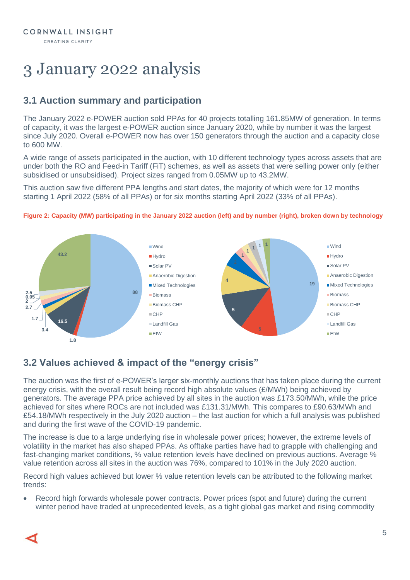# 3 January 2022 analysis

## **3.1 Auction summary and participation**

The January 2022 e-POWER auction sold PPAs for 40 projects totalling 161.85MW of generation. In terms of capacity, it was the largest e-POWER auction since January 2020, while by number it was the largest since July 2020. Overall e-POWER now has over 150 generators through the auction and a capacity close to 600 MW.

A wide range of assets participated in the auction, with 10 different technology types across assets that are under both the RO and Feed-in Tariff (FiT) schemes, as well as assets that were selling power only (either subsidised or unsubsidised). Project sizes ranged from 0.05MW up to 43.2MW.

This auction saw five different PPA lengths and start dates, the majority of which were for 12 months starting 1 April 2022 (58% of all PPAs) or for six months starting April 2022 (33% of all PPAs).





## **3.2 Values achieved & impact of the "energy crisis"**

The auction was the first of e-POWER's larger six-monthly auctions that has taken place during the current energy crisis, with the overall result being record high absolute values  $(E/MWh)$  being achieved by generators. The average PPA price achieved by all sites in the auction was £173.50/MWh, while the price achieved for sites where ROCs are not included was £131.31/MWh. This compares to £90.63/MWh and £54.18/MWh respectively in the July 2020 auction – the last auction for which a full analysis was published and during the first wave of the COVID-19 pandemic.

The increase is due to a large underlying rise in wholesale power prices; however, the extreme levels of volatility in the market has also shaped PPAs. As offtake parties have had to grapple with challenging and fast-changing market conditions, % value retention levels have declined on previous auctions. Average % value retention across all sites in the auction was 76%, compared to 101% in the July 2020 auction.

Record high values achieved but lower % value retention levels can be attributed to the following market trends:

• Record high forwards wholesale power contracts. Power prices (spot and future) during the current winter period have traded at unprecedented levels, as a tight global gas market and rising commodity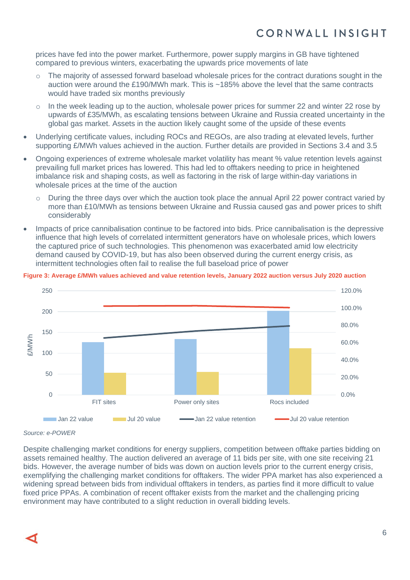prices have fed into the power market. Furthermore, power supply margins in GB have tightened compared to previous winters, exacerbating the upwards price movements of late

- $\circ$  The majority of assessed forward baseload wholesale prices for the contract durations sought in the auction were around the £190/MWh mark. This is ~185% above the level that the same contracts would have traded six months previously
- In the week leading up to the auction, wholesale power prices for summer 22 and winter 22 rose by upwards of £35/MWh, as escalating tensions between Ukraine and Russia created uncertainty in the global gas market. Assets in the auction likely caught some of the upside of these events
- Underlying certificate values, including ROCs and REGOs, are also trading at elevated levels, further supporting £/MWh values achieved in the auction. Further details are provided in Sections 3.4 and 3.5
- Ongoing experiences of extreme wholesale market volatility has meant % value retention levels against prevailing full market prices has lowered. This had led to offtakers needing to price in heightened imbalance risk and shaping costs, as well as factoring in the risk of large within-day variations in wholesale prices at the time of the auction
	- o During the three days over which the auction took place the annual April 22 power contract varied by more than £10/MWh as tensions between Ukraine and Russia caused gas and power prices to shift considerably
- Impacts of price cannibalisation continue to be factored into bids. Price cannibalisation is the depressive influence that high levels of correlated intermittent generators have on wholesale prices, which lowers the captured price of such technologies. This phenomenon was exacerbated amid low electricity demand caused by COVID-19, but has also been observed during the current energy crisis, as intermittent technologies often fail to realise the full baseload price of power



#### **Figure 3: Average £/MWh values achieved and value retention levels, January 2022 auction versus July 2020 auction**

#### *Source: e-POWER*

Despite challenging market conditions for energy suppliers, competition between offtake parties bidding on assets remained healthy. The auction delivered an average of 11 bids per site, with one site receiving 21 bids. However, the average number of bids was down on auction levels prior to the current energy crisis, exemplifying the challenging market conditions for offtakers. The wider PPA market has also experienced a widening spread between bids from individual offtakers in tenders, as parties find it more difficult to value fixed price PPAs. A combination of recent offtaker exists from the market and the challenging pricing environment may have contributed to a slight reduction in overall bidding levels.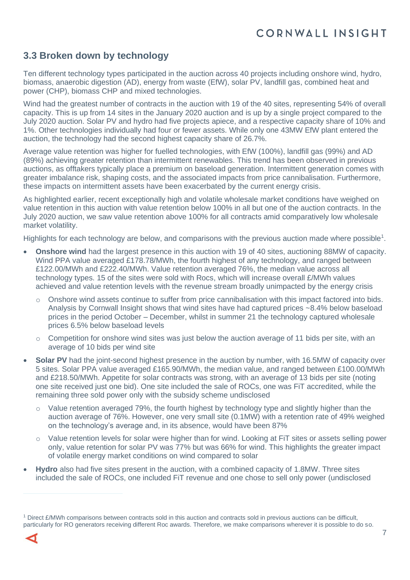### **3.3 Broken down by technology**

Ten different technology types participated in the auction across 40 projects including onshore wind, hydro, biomass, anaerobic digestion (AD), energy from waste (EfW), solar PV, landfill gas, combined heat and power (CHP), biomass CHP and mixed technologies.

Wind had the greatest number of contracts in the auction with 19 of the 40 sites, representing 54% of overall capacity. This is up from 14 sites in the January 2020 auction and is up by a single project compared to the July 2020 auction. Solar PV and hydro had five projects apiece, and a respective capacity share of 10% and 1%. Other technologies individually had four or fewer assets. While only one 43MW EfW plant entered the auction, the technology had the second highest capacity share of 26.7%.

Average value retention was higher for fuelled technologies, with EfW (100%), landfill gas (99%) and AD (89%) achieving greater retention than intermittent renewables. This trend has been observed in previous auctions, as offtakers typically place a premium on baseload generation. Intermittent generation comes with greater imbalance risk, shaping costs, and the associated impacts from price cannibalisation. Furthermore, these impacts on intermittent assets have been exacerbated by the current energy crisis.

As highlighted earlier, recent exceptionally high and volatile wholesale market conditions have weighed on value retention in this auction with value retention below 100% in all but one of the auction contracts. In the July 2020 auction, we saw value retention above 100% for all contracts amid comparatively low wholesale market volatility.

Highlights for each technology are below, and comparisons with the previous auction made where possible<sup>1</sup>.

- **Onshore wind** had the largest presence in this auction with 19 of 40 sites, auctioning 88MW of capacity. Wind PPA value averaged £178.78/MWh, the fourth highest of any technology, and ranged between £122.00/MWh and £222.40/MWh. Value retention averaged 76%, the median value across all technology types. 15 of the sites were sold with Rocs, which will increase overall £/MWh values achieved and value retention levels with the revenue stream broadly unimpacted by the energy crisis
	- Onshore wind assets continue to suffer from price cannibalisation with this impact factored into bids. Analysis by Cornwall Insight shows that wind sites have had captured prices ~8.4% below baseload prices in the period October – December, whilst in summer 21 the technology captured wholesale prices 6.5% below baseload levels
	- $\circ$  Competition for onshore wind sites was just below the auction average of 11 bids per site, with an average of 10 bids per wind site
- **Solar PV** had the joint-second highest presence in the auction by number, with 16.5MW of capacity over 5 sites. Solar PPA value averaged £165.90/MWh, the median value, and ranged between £100.00/MWh and £218.50/MWh. Appetite for solar contracts was strong, with an average of 13 bids per site (noting one site received just one bid). One site included the sale of ROCs, one was FiT accredited, while the remaining three sold power only with the subsidy scheme undisclosed
	- $\circ$  Value retention averaged 79%, the fourth highest by technology type and slightly higher than the auction average of 76%. However, one very small site (0.1MW) with a retention rate of 49% weighed on the technology's average and, in its absence, would have been 87%
	- o Value retention levels for solar were higher than for wind. Looking at FiT sites or assets selling power only, value retention for solar PV was 77% but was 66% for wind. This highlights the greater impact of volatile energy market conditions on wind compared to solar
- **Hydro** also had five sites present in the auction, with a combined capacity of 1.8MW. Three sites included the sale of ROCs, one included FiT revenue and one chose to sell only power (undisclosed

<sup>1</sup> Direct £/MWh comparisons between contracts sold in this auction and contracts sold in previous auctions can be difficult, particularly for RO generators receiving different Roc awards. Therefore, we make comparisons wherever it is possible to do so.

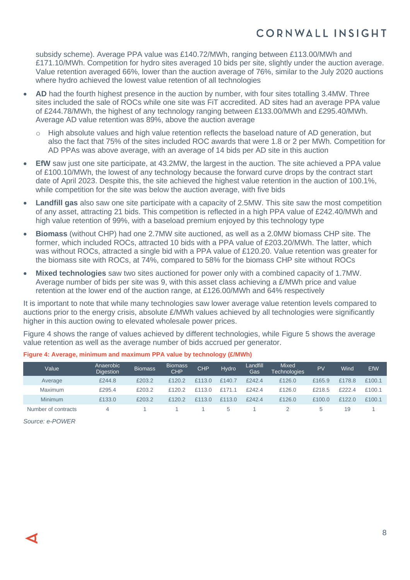subsidy scheme). Average PPA value was £140.72/MWh, ranging between £113.00/MWh and £171.10/MWh. Competition for hydro sites averaged 10 bids per site, slightly under the auction average. Value retention averaged 66%, lower than the auction average of 76%, similar to the July 2020 auctions where hydro achieved the lowest value retention of all technologies

- **AD** had the fourth highest presence in the auction by number, with four sites totalling 3.4MW. Three sites included the sale of ROCs while one site was FiT accredited. AD sites had an average PPA value of £244.78/MWh, the highest of any technology ranging between £133.00/MWh and £295.40/MWh. Average AD value retention was 89%, above the auction average
	- High absolute values and high value retention reflects the baseload nature of AD generation, but also the fact that 75% of the sites included ROC awards that were 1.8 or 2 per MWh. Competition for AD PPAs was above average, with an average of 14 bids per AD site in this auction
- **EfW** saw just one site participate, at 43.2MW, the largest in the auction. The site achieved a PPA value of £100.10/MWh, the lowest of any technology because the forward curve drops by the contract start date of April 2023. Despite this, the site achieved the highest value retention in the auction of 100.1%, while competition for the site was below the auction average, with five bids
- **Landfill gas** also saw one site participate with a capacity of 2.5MW. This site saw the most competition of any asset, attracting 21 bids. This competition is reflected in a high PPA value of £242.40/MWh and high value retention of 99%, with a baseload premium enjoyed by this technology type
- **Biomass** (without CHP) had one 2.7MW site auctioned, as well as a 2.0MW biomass CHP site. The former, which included ROCs, attracted 10 bids with a PPA value of £203.20/MWh. The latter, which was without ROCs, attracted a single bid with a PPA value of £120.20. Value retention was greater for the biomass site with ROCs, at 74%, compared to 58% for the biomass CHP site without ROCs
- **Mixed technologies** saw two sites auctioned for power only with a combined capacity of 1.7MW. Average number of bids per site was 9, with this asset class achieving a £/MWh price and value retention at the lower end of the auction range, at £126.00/MWh and 64% respectively

It is important to note that while many technologies saw lower average value retention levels compared to auctions prior to the energy crisis, absolute £/MWh values achieved by all technologies were significantly higher in this auction owing to elevated wholesale power prices.

Figure 4 shows the range of values achieved by different technologies, while Figure 5 shows the average value retention as well as the average number of bids accrued per generator.

| Value               | Anaerobic<br><b>Digestion</b> | <b>Biomass</b> | <b>Biomass</b><br><b>CHP</b> | <b>CHP</b> | Hydro         | Landfill<br>Gas | <b>Mixed</b><br><b>Technologies</b> | PV     | Wind   | EfW    |
|---------------------|-------------------------------|----------------|------------------------------|------------|---------------|-----------------|-------------------------------------|--------|--------|--------|
| Average             | £244.8                        | £203.2         | £120.2                       | £113.0     | £140.7        | £242.4          | £126.0                              | £165.9 | £178.8 | £100.1 |
| Maximum             | £295.4                        | £203.2         | £120.2                       | £113.0     | f171.1        | $f$ 242.4       | £126.0                              | £218.5 | f222.4 | £100.1 |
| Minimum             | £133.0                        | £203.2         | £120.2                       | £113.0     | £113.0        | £242.4          | £126.0                              | £100.0 | £122.0 | £100.1 |
| Number of contracts |                               |                |                              |            | $\mathcal{D}$ |                 |                                     |        | 19     |        |

**Figure 4: Average, minimum and maximum PPA value by technology (£/MWh)**

*Source: e-POWER*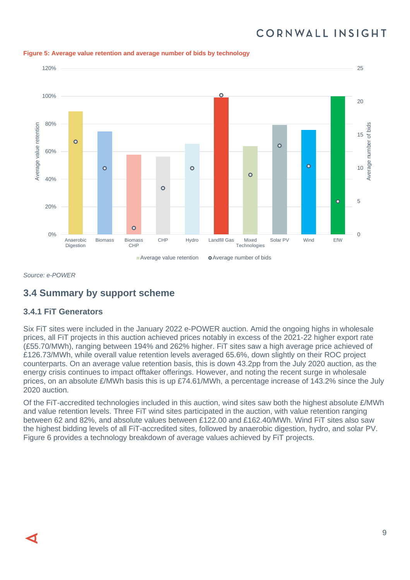

**Figure 5: Average value retention and average number of bids by technology**

*Source: e-POWER*

## **3.4 Summary by support scheme**

#### **3.4.1 FiT Generators**

Six FiT sites were included in the January 2022 e-POWER auction. Amid the ongoing highs in wholesale prices, all FiT projects in this auction achieved prices notably in excess of the 2021-22 higher export rate (£55.70/MWh), ranging between 194% and 262% higher. FiT sites saw a high average price achieved of £126.73/MWh, while overall value retention levels averaged 65.6%, down slightly on their ROC project counterparts. On an average value retention basis, this is down 43.2pp from the July 2020 auction, as the energy crisis continues to impact offtaker offerings. However, and noting the recent surge in wholesale prices, on an absolute £/MWh basis this is up £74.61/MWh, a percentage increase of 143.2% since the July 2020 auction.

Of the FiT-accredited technologies included in this auction, wind sites saw both the highest absolute £/MWh and value retention levels. Three FiT wind sites participated in the auction, with value retention ranging between 62 and 82%, and absolute values between £122.00 and £162.40/MWh. Wind FiT sites also saw the highest bidding levels of all FiT-accredited sites, followed by anaerobic digestion, hydro, and solar PV. Figure 6 provides a technology breakdown of average values achieved by FiT projects.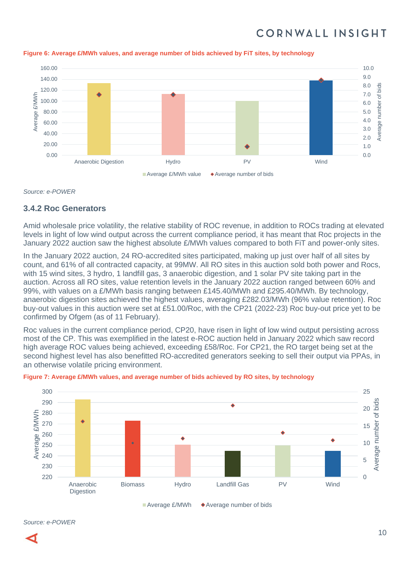

#### **Figure 6: Average £/MWh values, and average number of bids achieved by FiT sites, by technology**

*Source: e-POWER*

#### **3.4.2 Roc Generators**

Amid wholesale price volatility, the relative stability of ROC revenue, in addition to ROCs trading at elevated levels in light of low wind output across the current compliance period, it has meant that Roc projects in the January 2022 auction saw the highest absolute £/MWh values compared to both FiT and power-only sites.

In the January 2022 auction, 24 RO-accredited sites participated, making up just over half of all sites by count, and 61% of all contracted capacity, at 99MW. All RO sites in this auction sold both power and Rocs, with 15 wind sites, 3 hydro, 1 landfill gas, 3 anaerobic digestion, and 1 solar PV site taking part in the auction. Across all RO sites, value retention levels in the January 2022 auction ranged between 60% and 99%, with values on a £/MWh basis ranging between £145.40/MWh and £295.40/MWh. By technology, anaerobic digestion sites achieved the highest values, averaging £282.03/MWh (96% value retention). Roc buy-out values in this auction were set at £51.00/Roc, with the CP21 (2022-23) Roc buy-out price yet to be confirmed by Ofgem (as of 11 February).

Roc values in the current compliance period, CP20, have risen in light of low wind output persisting across most of the CP. This was exemplified in the latest e-ROC auction held in January 2022 which saw record high average ROC values being achieved, exceeding £58/Roc. For CP21, the RO target being set at the second highest level has also benefitted RO-accredited generators seeking to sell their output via PPAs, in an otherwise volatile pricing environment.



**Figure 7: Average £/MWh values, and average number of bids achieved by RO sites, by technology**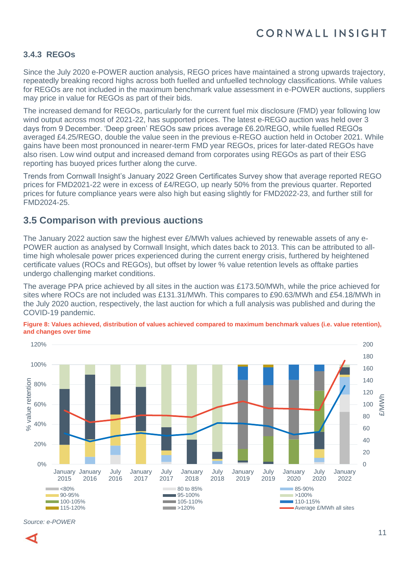#### **3.4.3 REGOs**

Since the July 2020 e-POWER auction analysis, REGO prices have maintained a strong upwards trajectory, repeatedly breaking record highs across both fuelled and unfuelled technology classifications. While values for REGOs are not included in the maximum benchmark value assessment in e-POWER auctions, suppliers may price in value for REGOs as part of their bids.

The increased demand for REGOs, particularly for the current fuel mix disclosure (FMD) year following low wind output across most of 2021-22, has supported prices. The latest e-REGO auction was held over 3 days from 9 December. 'Deep green' REGOs saw prices average £6.20/REGO, while fuelled REGOs averaged £4.25/REGO, double the value seen in the previous e-REGO auction held in October 2021. While gains have been most pronounced in nearer-term FMD year REGOs, prices for later-dated REGOs have also risen. Low wind output and increased demand from corporates using REGOs as part of their ESG reporting has buoyed prices further along the curve.

Trends from Cornwall Insight's January 2022 Green Certificates Survey show that average reported REGO prices for FMD2021-22 were in excess of £4/REGO, up nearly 50% from the previous quarter. Reported prices for future compliance years were also high but easing slightly for FMD2022-23, and further still for FMD2024-25.

### **3.5 Comparison with previous auctions**

The January 2022 auction saw the highest ever £/MWh values achieved by renewable assets of any e-POWER auction as analysed by Cornwall Insight, which dates back to 2013. This can be attributed to alltime high wholesale power prices experienced during the current energy crisis, furthered by heightened certificate values (ROCs and REGOs), but offset by lower % value retention levels as offtake parties undergo challenging market conditions.

The average PPA price achieved by all sites in the auction was £173.50/MWh, while the price achieved for sites where ROCs are not included was £131.31/MWh. This compares to £90.63/MWh and £54.18/MWh in the July 2020 auction, respectively, the last auction for which a full analysis was published and during the COVID-19 pandemic.



**Figure 8: Values achieved, distribution of values achieved compared to maximum benchmark values (i.e. value retention), and changes over time**

*Source: e-POWER*